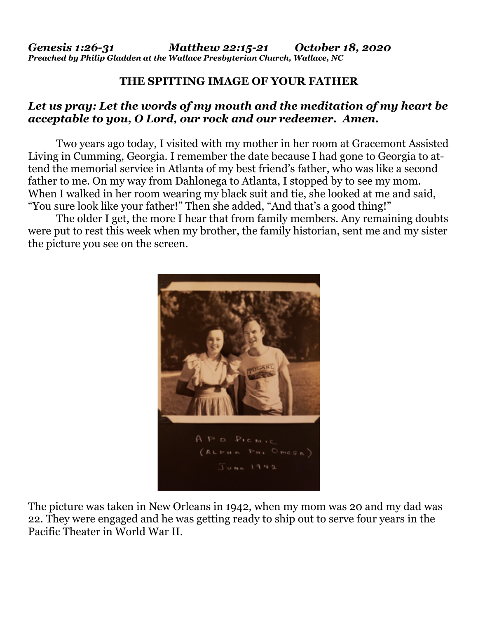## **THE SPITTING IMAGE OF YOUR FATHER**

## *Let us pray: Let the words of my mouth and the meditation of my heart be acceptable to you, O Lord, our rock and our redeemer. Amen.*

Two years ago today, I visited with my mother in her room at Gracemont Assisted Living in Cumming, Georgia. I remember the date because I had gone to Georgia to attend the memorial service in Atlanta of my best friend's father, who was like a second father to me. On my way from Dahlonega to Atlanta, I stopped by to see my mom. When I walked in her room wearing my black suit and tie, she looked at me and said, "You sure look like your father!" Then she added, "And that's a good thing!"

 The older I get, the more I hear that from family members. Any remaining doubts were put to rest this week when my brother, the family historian, sent me and my sister the picture you see on the screen.



The picture was taken in New Orleans in 1942, when my mom was 20 and my dad was 22. They were engaged and he was getting ready to ship out to serve four years in the Pacific Theater in World War II.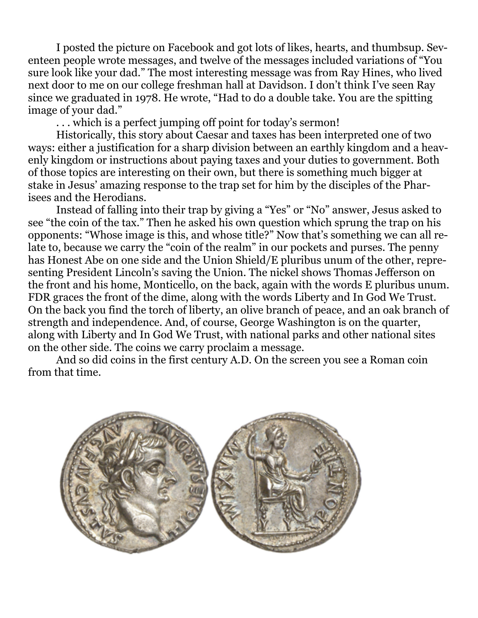I posted the picture on Facebook and got lots of likes, hearts, and thumbsup. Seventeen people wrote messages, and twelve of the messages included variations of "You sure look like your dad." The most interesting message was from Ray Hines, who lived next door to me on our college freshman hall at Davidson. I don't think I've seen Ray since we graduated in 1978. He wrote, "Had to do a double take. You are the spitting image of your dad."

. . . which is a perfect jumping off point for today's sermon!

 Historically, this story about Caesar and taxes has been interpreted one of two ways: either a justification for a sharp division between an earthly kingdom and a heavenly kingdom or instructions about paying taxes and your duties to government. Both of those topics are interesting on their own, but there is something much bigger at stake in Jesus' amazing response to the trap set for him by the disciples of the Pharisees and the Herodians.

 Instead of falling into their trap by giving a "Yes" or "No" answer, Jesus asked to see "the coin of the tax." Then he asked his own question which sprung the trap on his opponents: "Whose image is this, and whose title?" Now that's something we can all relate to, because we carry the "coin of the realm" in our pockets and purses. The penny has Honest Abe on one side and the Union Shield/E pluribus unum of the other, representing President Lincoln's saving the Union. The nickel shows Thomas Jefferson on the front and his home, Monticello, on the back, again with the words E pluribus unum. FDR graces the front of the dime, along with the words Liberty and In God We Trust. On the back you find the torch of liberty, an olive branch of peace, and an oak branch of strength and independence. And, of course, George Washington is on the quarter, along with Liberty and In God We Trust, with national parks and other national sites on the other side. The coins we carry proclaim a message.

 And so did coins in the first century A.D. On the screen you see a Roman coin from that time.

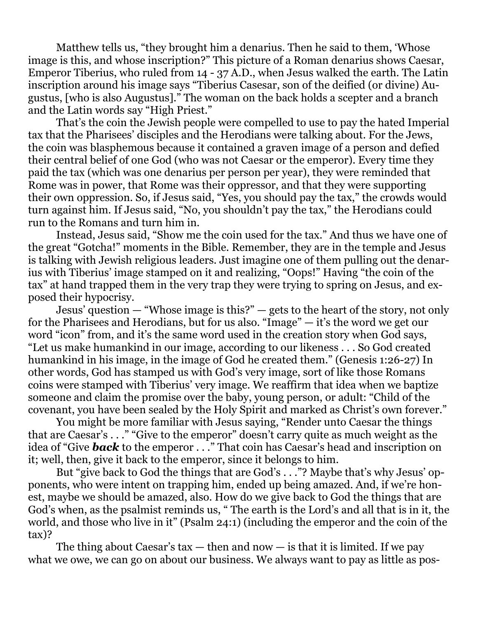Matthew tells us, "they brought him a denarius. Then he said to them, 'Whose image is this, and whose inscription?" This picture of a Roman denarius shows Caesar, Emperor Tiberius, who ruled from 14 - 37 A.D., when Jesus walked the earth. The Latin inscription around his image says "Tiberius Casesar, son of the deified (or divine) Augustus, [who is also Augustus]." The woman on the back holds a scepter and a branch and the Latin words say "High Priest."

 That's the coin the Jewish people were compelled to use to pay the hated Imperial tax that the Pharisees' disciples and the Herodians were talking about. For the Jews, the coin was blasphemous because it contained a graven image of a person and defied their central belief of one God (who was not Caesar or the emperor). Every time they paid the tax (which was one denarius per person per year), they were reminded that Rome was in power, that Rome was their oppressor, and that they were supporting their own oppression. So, if Jesus said, "Yes, you should pay the tax," the crowds would turn against him. If Jesus said, "No, you shouldn't pay the tax," the Herodians could run to the Romans and turn him in.

 Instead, Jesus said, "Show me the coin used for the tax." And thus we have one of the great "Gotcha!" moments in the Bible. Remember, they are in the temple and Jesus is talking with Jewish religious leaders. Just imagine one of them pulling out the denarius with Tiberius' image stamped on it and realizing, "Oops!" Having "the coin of the tax" at hand trapped them in the very trap they were trying to spring on Jesus, and exposed their hypocrisy.

 Jesus' question — "Whose image is this?" — gets to the heart of the story, not only for the Pharisees and Herodians, but for us also. "Image" — it's the word we get our word "icon" from, and it's the same word used in the creation story when God says, "Let us make humankind in our image, according to our likeness . . . So God created humankind in his image, in the image of God he created them." (Genesis 1:26-27) In other words, God has stamped us with God's very image, sort of like those Romans coins were stamped with Tiberius' very image. We reaffirm that idea when we baptize someone and claim the promise over the baby, young person, or adult: "Child of the covenant, you have been sealed by the Holy Spirit and marked as Christ's own forever."

 You might be more familiar with Jesus saying, "Render unto Caesar the things that are Caesar's . . ." "Give to the emperor" doesn't carry quite as much weight as the idea of "Give *back* to the emperor . . ." That coin has Caesar's head and inscription on it; well, then, give it back to the emperor, since it belongs to him.

 But "give back to God the things that are God's . . ."? Maybe that's why Jesus' opponents, who were intent on trapping him, ended up being amazed. And, if we're honest, maybe we should be amazed, also. How do we give back to God the things that are God's when, as the psalmist reminds us, " The earth is the Lord's and all that is in it, the world, and those who live in it" (Psalm 24:1) (including the emperor and the coin of the tax)?

The thing about Caesar's tax  $-$  then and now  $-$  is that it is limited. If we pay what we owe, we can go on about our business. We always want to pay as little as pos